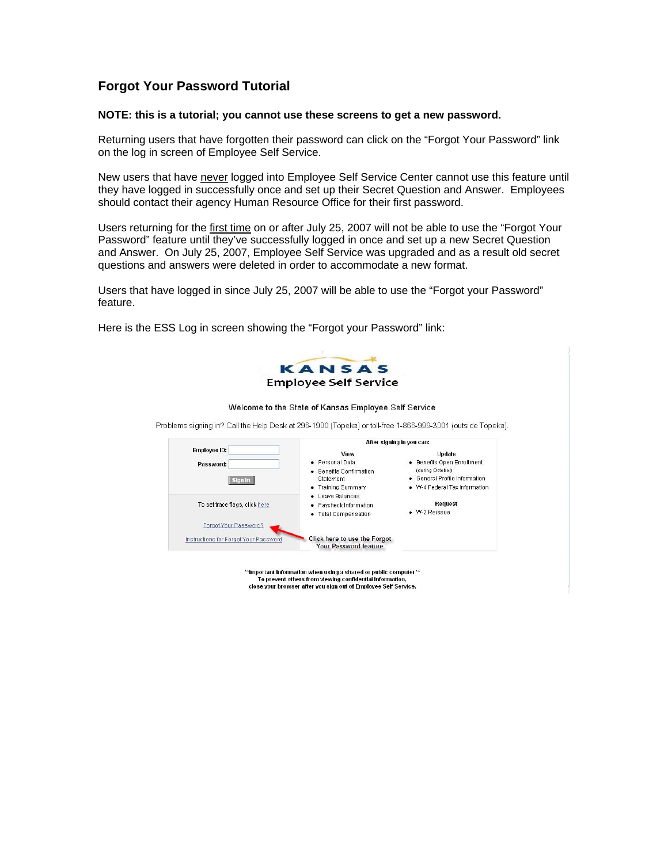## **Forgot Your Password Tutorial**

## **NOTE: this is a tutorial; you cannot use these screens to get a new password.**

Returning users that have forgotten their password can click on the "Forgot Your Password" link on the log in screen of Employee Self Service.

New users that have never logged into Employee Self Service Center cannot use this feature until they have logged in successfully once and set up their Secret Question and Answer. Employees should contact their agency Human Resource Office for their first password.

Users returning for the first time on or after July 25, 2007 will not be able to use the "Forgot Your Password" feature until they've successfully logged in once and set up a new Secret Question and Answer. On July 25, 2007, Employee Self Service was upgraded and as a result old secret questions and answers were deleted in order to accommodate a new format.

Users that have logged in since July 25, 2007 will be able to use the "Forgot your Password" feature.

Here is the ESS Log in screen showing the "Forgot your Password" link:



\*\* Important information when using a shared or public computer\*\* To prevent others from viewing confidential information, close your browser after you sign out of Employee Self Service.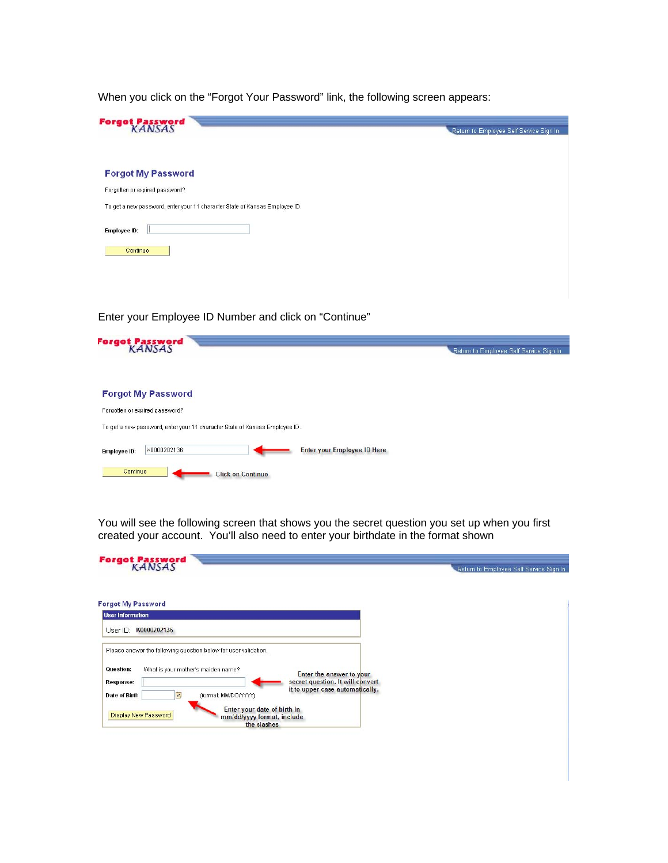When you click on the "Forgot Your Password" link, the following screen appears:



Enter your Employee ID Number and click on "Continue"

| Forgot Password<br>KANSAS                                                                                     | Return to Employee Self Service Sign In |
|---------------------------------------------------------------------------------------------------------------|-----------------------------------------|
| <b>Forgot My Password</b>                                                                                     |                                         |
| Forgotten or expired password?<br>To get a new password, enter your 11 character State of Kansas Employee ID. |                                         |
| <b>Enter your Employee ID Here</b><br>K0000202136<br>Employee ID:                                             |                                         |
| Continue<br><b>Click on Continue</b>                                                                          |                                         |

You will see the following screen that shows you the secret question you set up when you first created your account. You'll also need to enter your birthdate in the format shown

| <b>Forgot Password</b>                                                                                                                         | Return to Employee Self Service Sign In |
|------------------------------------------------------------------------------------------------------------------------------------------------|-----------------------------------------|
| <b>Forgot My Password</b>                                                                                                                      |                                         |
| <b>User Information</b>                                                                                                                        |                                         |
| User ID: K0000202136                                                                                                                           |                                         |
| Please answer the following question below for user validation.<br>Question:<br>What is your mother's maiden name?<br>Enter the answer to your |                                         |
| secret question. It will convert<br>Response:<br>it to upper case automatically.<br>BŲ<br>Date of Birth<br>(format: MM/DD/YYYY)                |                                         |
| Enter your date of birth in<br>Display New Password<br>mm/dd/yyyy format, include<br>the slashes                                               |                                         |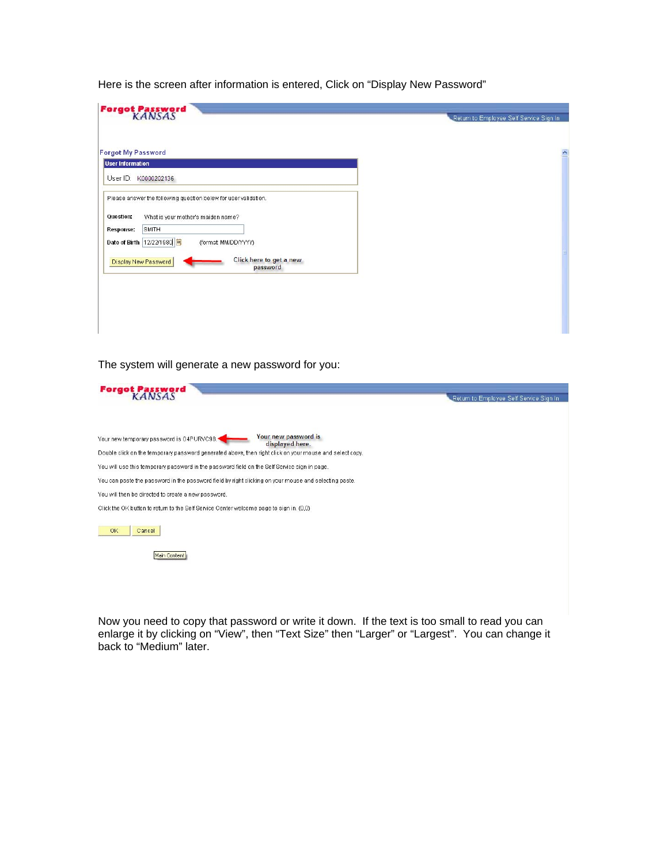Here is the screen after information is entered, Click on "Display New Password"

| <b>Forgot My Password</b><br><b>User Information</b><br>User ID: K0000202136<br>Please answer the following question below for user validation.<br>What is your mother's maiden name?<br>Question:<br>SMITH<br><b>Response:</b><br>Date of Birth   12/22/1980   <mark>国</mark><br>(format: MM/DD/YYYY) | Return to Employee Self Service Sign In | <b>Forgot Password</b>  |
|--------------------------------------------------------------------------------------------------------------------------------------------------------------------------------------------------------------------------------------------------------------------------------------------------------|-----------------------------------------|-------------------------|
|                                                                                                                                                                                                                                                                                                        | $\blacktriangle$                        |                         |
|                                                                                                                                                                                                                                                                                                        |                                         |                         |
| Display New Password<br>password                                                                                                                                                                                                                                                                       |                                         | Click here to get a new |

The system will generate a new password for you:

| <b>Forgot Password</b>                                                                                                                                                                                | Return to Employee Self Service Sign In |
|-------------------------------------------------------------------------------------------------------------------------------------------------------------------------------------------------------|-----------------------------------------|
| Your new password is<br>Your new temporary password is O4PURVC98.<br>displayed here.<br>Double click on the temporary password generated above, then right click on your mouse and select copy.       |                                         |
| You will use this temporary password in the password field on the Self Service sign in page.<br>You can paste the password in the password field by right clicking on your mouse and selecting paste. |                                         |
| You will then be directed to create a new password.<br>Click the OK button to return to the Self Service Center welcome page to sign in. (0,0)                                                        |                                         |
| OK<br>Cancel                                                                                                                                                                                          |                                         |
| Main Content                                                                                                                                                                                          |                                         |

Now you need to copy that password or write it down. If the text is too small to read you can enlarge it by clicking on "View", then "Text Size" then "Larger" or "Largest". You can change it back to "Medium" later.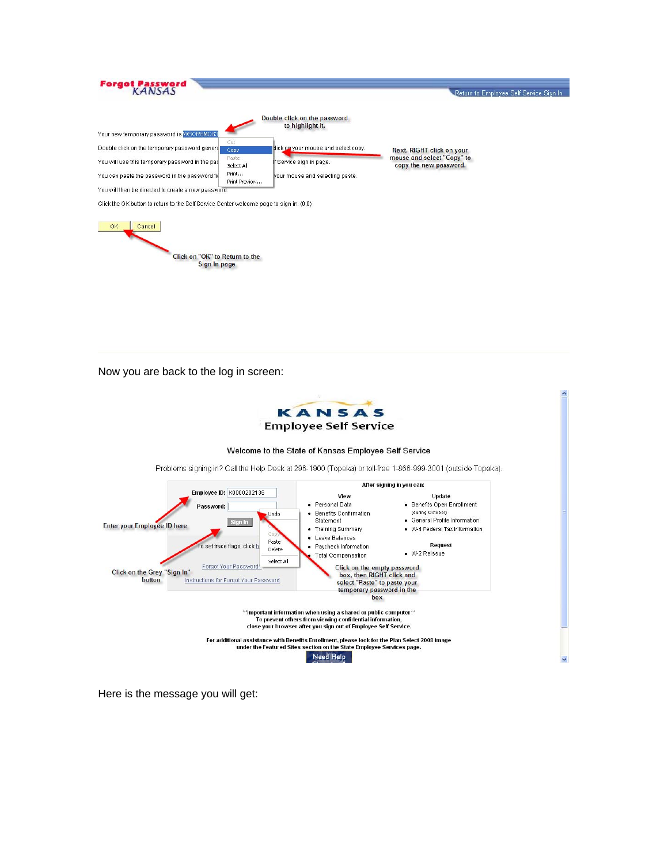| <b>Forgot Password</b>                                                                  |                        |                                                  | Return to Employee Self Service Sign In              |
|-----------------------------------------------------------------------------------------|------------------------|--------------------------------------------------|------------------------------------------------------|
|                                                                                         |                        | Double click on the password<br>to highlight it. |                                                      |
| Your new temporary password is WSCR6MO63.                                               |                        |                                                  |                                                      |
| Double click on the temporary password general                                          | Cut<br>Copy            | lick on your mouse and select copy.              | Next, RIGHT click on your                            |
| You will use this temporary password in the pas                                         | Paste<br>Select All    | If Service sign in page.                         | mouse and select "Copy" to<br>copy the new password. |
| You can paste the password in the password fie                                          | Print<br>Print Preview | your mouse and selecting paste.                  |                                                      |
| You will then be directed to create a new password.                                     |                        |                                                  |                                                      |
| Click the OK button to return to the Self Service Center welcome page to sign in, (0,0) |                        |                                                  |                                                      |
| OK.<br>Cancel                                                                           |                        |                                                  |                                                      |
| Click on "OK" to Return to the<br>Sign In page                                          |                        |                                                  |                                                      |
|                                                                                         |                        |                                                  |                                                      |
|                                                                                         |                        |                                                  |                                                      |

Now you are back to the log in screen:



Here is the message you will get: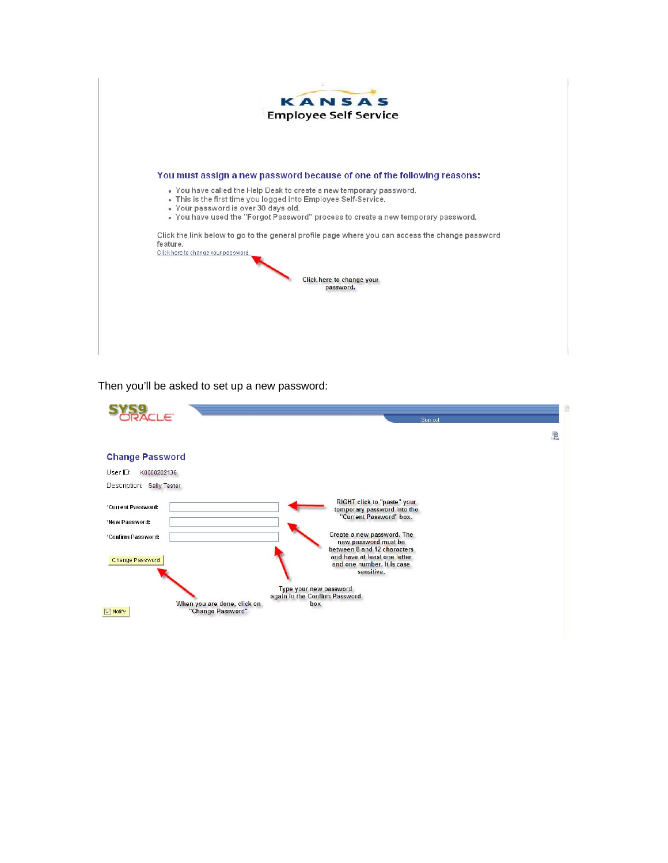

Then you'll be asked to set up a new password:

| $\Box$ $\in$                                                        | Sign out                                                                                                |   |
|---------------------------------------------------------------------|---------------------------------------------------------------------------------------------------------|---|
|                                                                     |                                                                                                         | 鳳 |
| <b>Change Password</b>                                              |                                                                                                         |   |
| User ID:<br>K0000202136                                             |                                                                                                         |   |
| Description: Sally Tester                                           |                                                                                                         |   |
| *Current Password:                                                  | RIGHT click to "paste" your<br>temporary password into the<br>"Current Password" box.                   |   |
| 'New Password:                                                      |                                                                                                         |   |
| *Confirm Password:                                                  | Create a new password. The<br>new password must be                                                      |   |
| Change Password                                                     | between 8 and 12 characters<br>and have at least one letter<br>and one number. It is case<br>sensitive. |   |
|                                                                     | Type your new password<br>again in the Confirm Password                                                 |   |
| When you are done, click on<br>"Change Password"<br>$\equiv$ Notify | box                                                                                                     |   |